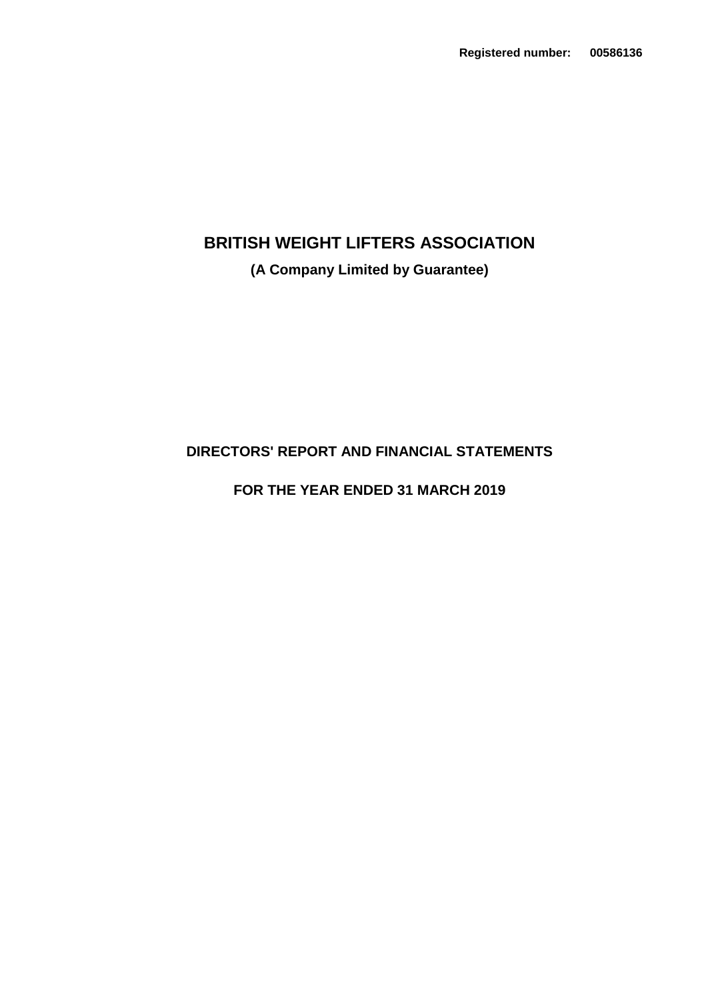# **(A Company Limited by Guarantee)**

# **DIRECTORS' REPORT AND FINANCIAL STATEMENTS**

# **FOR THE YEAR ENDED 31 MARCH 2019**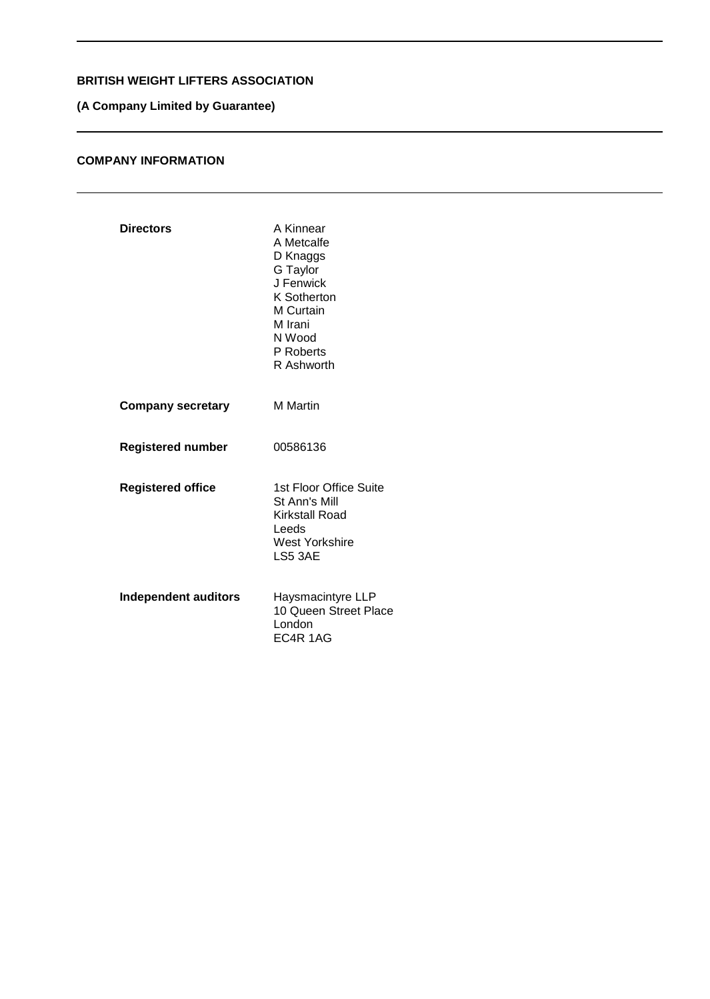## **(A Company Limited by Guarantee)**

## **COMPANY INFORMATION**

| <b>Directors</b>            | A Kinnear<br>A Metcalfe<br>D Knaggs<br>G Taylor<br>J Fenwick<br>K Sotherton<br>M Curtain<br>M Irani<br>N Wood<br>P Roberts<br>R Ashworth |
|-----------------------------|------------------------------------------------------------------------------------------------------------------------------------------|
| <b>Company secretary</b>    | <b>M</b> Martin                                                                                                                          |
| <b>Registered number</b>    | 00586136                                                                                                                                 |
| <b>Registered office</b>    | 1st Floor Office Suite<br>St Ann's Mill<br>Kirkstall Road<br>Leeds<br><b>West Yorkshire</b><br>LS5 3AE                                   |
| <b>Independent auditors</b> | Haysmacintyre LLP<br>10 Queen Street Place<br>London<br>EC4R 1AG                                                                         |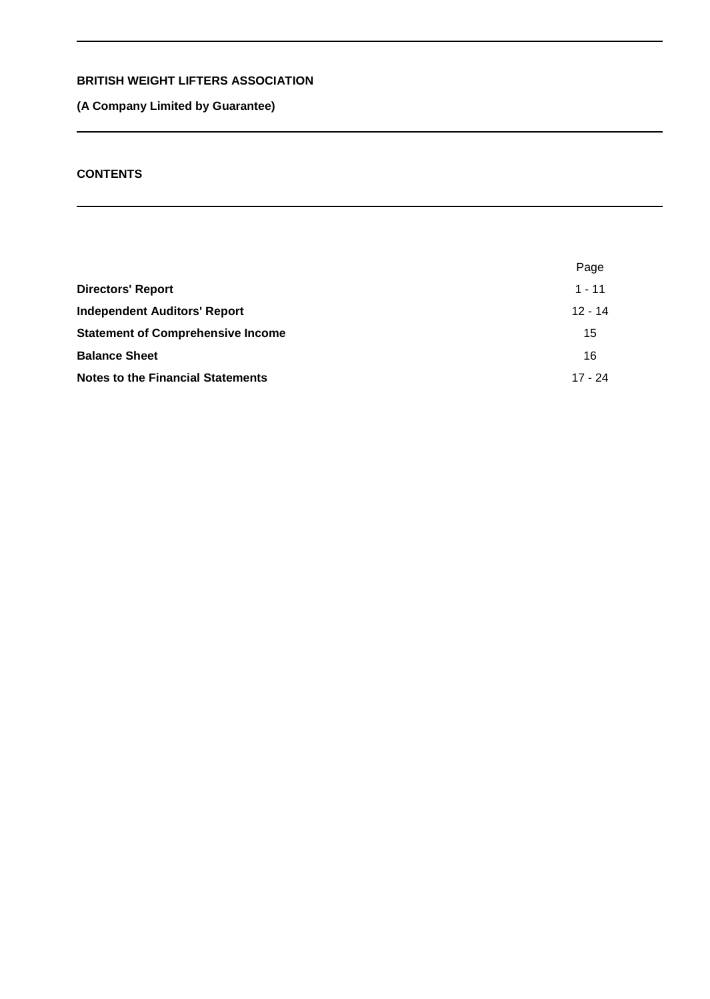## **(A Company Limited by Guarantee)**

## **CONTENTS**

|                                          | Page      |
|------------------------------------------|-----------|
| <b>Directors' Report</b>                 | $1 - 11$  |
| <b>Independent Auditors' Report</b>      | $12 - 14$ |
| <b>Statement of Comprehensive Income</b> | 15        |
| <b>Balance Sheet</b>                     | 16        |
| <b>Notes to the Financial Statements</b> | 17 - 24   |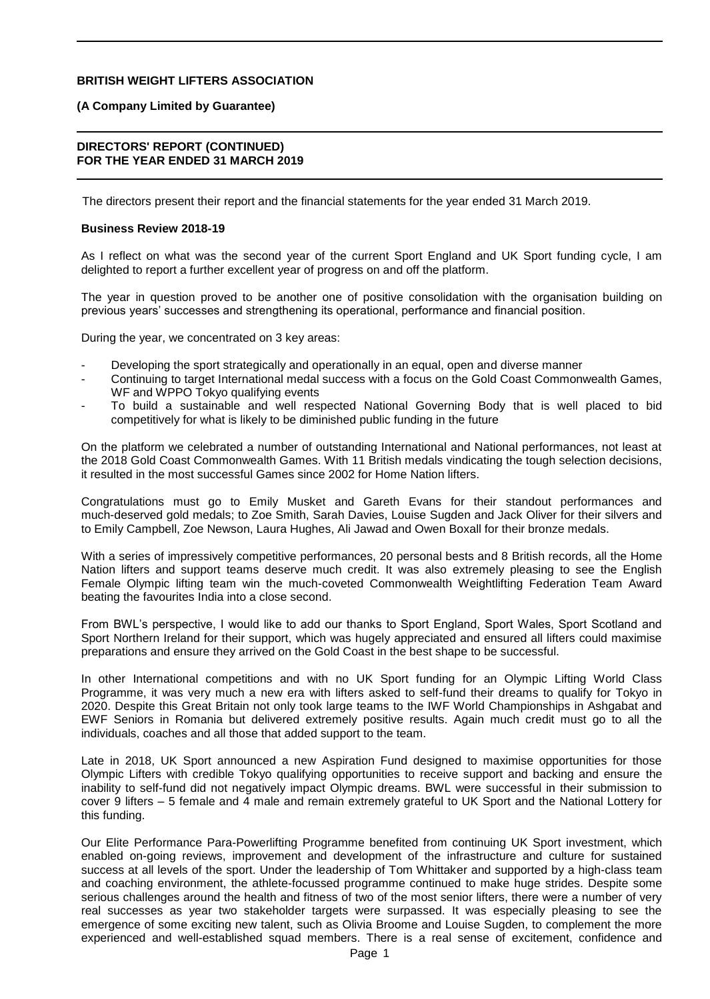#### **(A Company Limited by Guarantee)**

#### **DIRECTORS' REPORT (CONTINUED) FOR THE YEAR ENDED 31 MARCH 2019**

The directors present their report and the financial statements for the year ended 31 March 2019.

#### **Business Review 2018-19**

As I reflect on what was the second year of the current Sport England and UK Sport funding cycle, I am delighted to report a further excellent year of progress on and off the platform.

The year in question proved to be another one of positive consolidation with the organisation building on previous years' successes and strengthening its operational, performance and financial position.

During the year, we concentrated on 3 key areas:

- Developing the sport strategically and operationally in an equal, open and diverse manner
- Continuing to target International medal success with a focus on the Gold Coast Commonwealth Games, WF and WPPO Tokyo qualifying events
- To build a sustainable and well respected National Governing Body that is well placed to bid competitively for what is likely to be diminished public funding in the future

On the platform we celebrated a number of outstanding International and National performances, not least at the 2018 Gold Coast Commonwealth Games. With 11 British medals vindicating the tough selection decisions, it resulted in the most successful Games since 2002 for Home Nation lifters.

Congratulations must go to Emily Musket and Gareth Evans for their standout performances and much-deserved gold medals; to Zoe Smith, Sarah Davies, Louise Sugden and Jack Oliver for their silvers and to Emily Campbell, Zoe Newson, Laura Hughes, Ali Jawad and Owen Boxall for their bronze medals.

With a series of impressively competitive performances, 20 personal bests and 8 British records, all the Home Nation lifters and support teams deserve much credit. It was also extremely pleasing to see the English Female Olympic lifting team win the much-coveted Commonwealth Weightlifting Federation Team Award beating the favourites India into a close second.

From BWL's perspective, I would like to add our thanks to Sport England, Sport Wales, Sport Scotland and Sport Northern Ireland for their support, which was hugely appreciated and ensured all lifters could maximise preparations and ensure they arrived on the Gold Coast in the best shape to be successful.

In other International competitions and with no UK Sport funding for an Olympic Lifting World Class Programme, it was very much a new era with lifters asked to self-fund their dreams to qualify for Tokyo in 2020. Despite this Great Britain not only took large teams to the IWF World Championships in Ashgabat and EWF Seniors in Romania but delivered extremely positive results. Again much credit must go to all the individuals, coaches and all those that added support to the team.

Late in 2018, UK Sport announced a new Aspiration Fund designed to maximise opportunities for those Olympic Lifters with credible Tokyo qualifying opportunities to receive support and backing and ensure the inability to self-fund did not negatively impact Olympic dreams. BWL were successful in their submission to cover 9 lifters – 5 female and 4 male and remain extremely grateful to UK Sport and the National Lottery for this funding.

Our Elite Performance Para-Powerlifting Programme benefited from continuing UK Sport investment, which enabled on-going reviews, improvement and development of the infrastructure and culture for sustained success at all levels of the sport. Under the leadership of Tom Whittaker and supported by a high-class team and coaching environment, the athlete-focussed programme continued to make huge strides. Despite some serious challenges around the health and fitness of two of the most senior lifters, there were a number of very real successes as year two stakeholder targets were surpassed. It was especially pleasing to see the emergence of some exciting new talent, such as Olivia Broome and Louise Sugden, to complement the more experienced and well-established squad members. There is a real sense of excitement, confidence and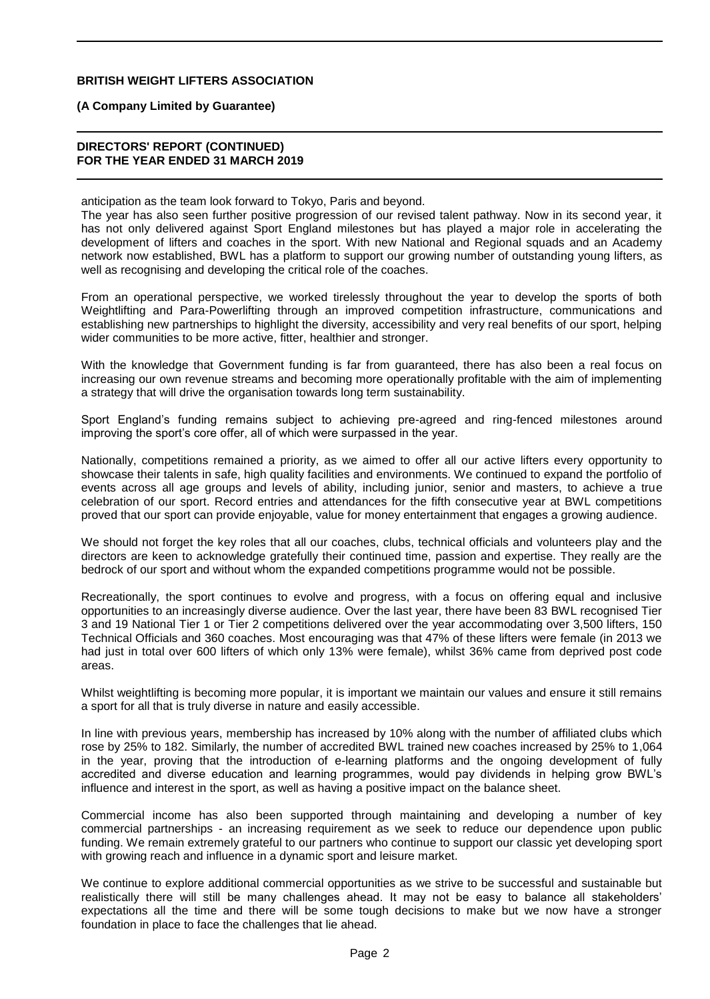#### **(A Company Limited by Guarantee)**

### **DIRECTORS' REPORT (CONTINUED) FOR THE YEAR ENDED 31 MARCH 2019**

anticipation as the team look forward to Tokyo, Paris and beyond.

The year has also seen further positive progression of our revised talent pathway. Now in its second year, it has not only delivered against Sport England milestones but has played a major role in accelerating the development of lifters and coaches in the sport. With new National and Regional squads and an Academy network now established, BWL has a platform to support our growing number of outstanding young lifters, as well as recognising and developing the critical role of the coaches.

From an operational perspective, we worked tirelessly throughout the year to develop the sports of both Weightlifting and Para-Powerlifting through an improved competition infrastructure, communications and establishing new partnerships to highlight the diversity, accessibility and very real benefits of our sport, helping wider communities to be more active, fitter, healthier and stronger.

With the knowledge that Government funding is far from guaranteed, there has also been a real focus on increasing our own revenue streams and becoming more operationally profitable with the aim of implementing a strategy that will drive the organisation towards long term sustainability.

Sport England's funding remains subject to achieving pre-agreed and ring-fenced milestones around improving the sport's core offer, all of which were surpassed in the year.

Nationally, competitions remained a priority, as we aimed to offer all our active lifters every opportunity to showcase their talents in safe, high quality facilities and environments. We continued to expand the portfolio of events across all age groups and levels of ability, including junior, senior and masters, to achieve a true celebration of our sport. Record entries and attendances for the fifth consecutive year at BWL competitions proved that our sport can provide enjoyable, value for money entertainment that engages a growing audience.

We should not forget the key roles that all our coaches, clubs, technical officials and volunteers play and the directors are keen to acknowledge gratefully their continued time, passion and expertise. They really are the bedrock of our sport and without whom the expanded competitions programme would not be possible.

Recreationally, the sport continues to evolve and progress, with a focus on offering equal and inclusive opportunities to an increasingly diverse audience. Over the last year, there have been 83 BWL recognised Tier 3 and 19 National Tier 1 or Tier 2 competitions delivered over the year accommodating over 3,500 lifters, 150 Technical Officials and 360 coaches. Most encouraging was that 47% of these lifters were female (in 2013 we had just in total over 600 lifters of which only 13% were female), whilst 36% came from deprived post code areas.

Whilst weightlifting is becoming more popular, it is important we maintain our values and ensure it still remains a sport for all that is truly diverse in nature and easily accessible.

In line with previous years, membership has increased by 10% along with the number of affiliated clubs which rose by 25% to 182. Similarly, the number of accredited BWL trained new coaches increased by 25% to 1,064 in the year, proving that the introduction of e-learning platforms and the ongoing development of fully accredited and diverse education and learning programmes, would pay dividends in helping grow BWL's influence and interest in the sport, as well as having a positive impact on the balance sheet.

Commercial income has also been supported through maintaining and developing a number of key commercial partnerships - an increasing requirement as we seek to reduce our dependence upon public funding. We remain extremely grateful to our partners who continue to support our classic yet developing sport with growing reach and influence in a dynamic sport and leisure market.

We continue to explore additional commercial opportunities as we strive to be successful and sustainable but realistically there will still be many challenges ahead. It may not be easy to balance all stakeholders' expectations all the time and there will be some tough decisions to make but we now have a stronger foundation in place to face the challenges that lie ahead.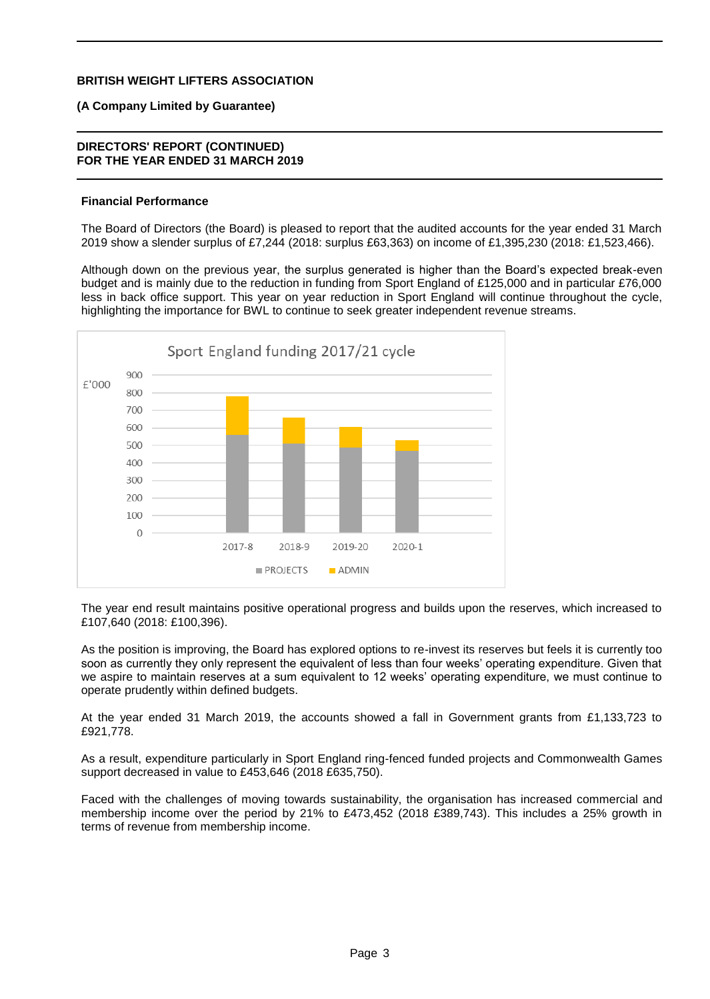#### **(A Company Limited by Guarantee)**

#### **DIRECTORS' REPORT (CONTINUED) FOR THE YEAR ENDED 31 MARCH 2019**

#### **Financial Performance**

The Board of Directors (the Board) is pleased to report that the audited accounts for the year ended 31 March 2019 show a slender surplus of £7,244 (2018: surplus £63,363) on income of £1,395,230 (2018: £1,523,466).

Although down on the previous year, the surplus generated is higher than the Board's expected break-even budget and is mainly due to the reduction in funding from Sport England of £125,000 and in particular £76,000 less in back office support. This year on year reduction in Sport England will continue throughout the cycle, highlighting the importance for BWL to continue to seek greater independent revenue streams.



The year end result maintains positive operational progress and builds upon the reserves, which increased to £107,640 (2018: £100,396).

As the position is improving, the Board has explored options to re-invest its reserves but feels it is currently too soon as currently they only represent the equivalent of less than four weeks' operating expenditure. Given that we aspire to maintain reserves at a sum equivalent to 12 weeks' operating expenditure, we must continue to operate prudently within defined budgets.

At the year ended 31 March 2019, the accounts showed a fall in Government grants from £1,133,723 to £921,778.

As a result, expenditure particularly in Sport England ring-fenced funded projects and Commonwealth Games support decreased in value to £453,646 (2018 £635,750).

Faced with the challenges of moving towards sustainability, the organisation has increased commercial and membership income over the period by 21% to £473,452 (2018 £389,743). This includes a 25% growth in terms of revenue from membership income.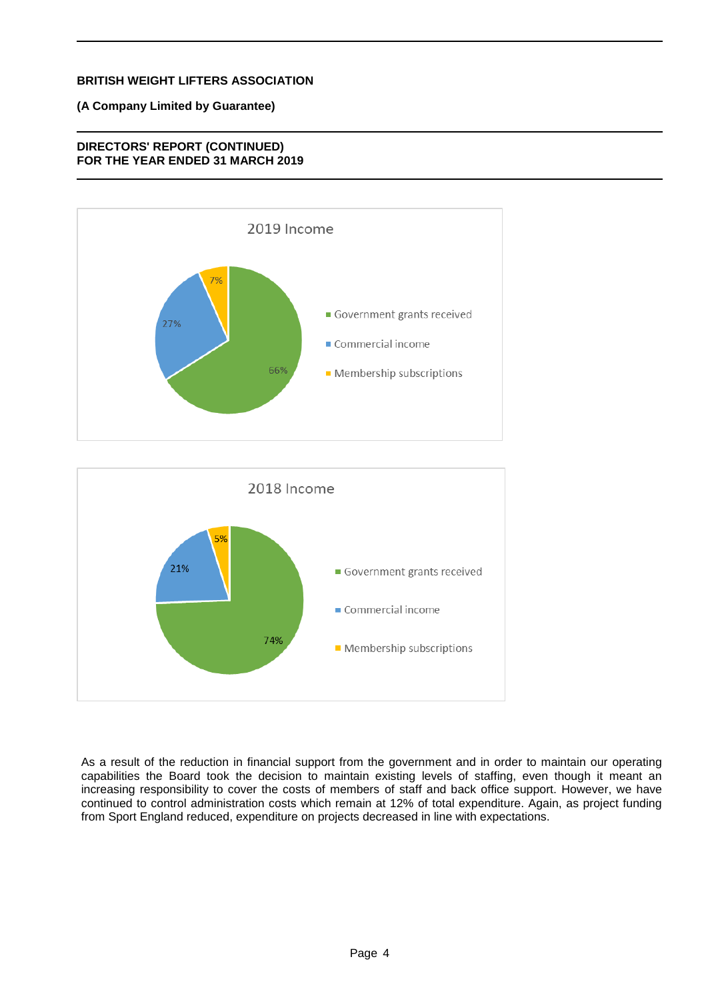## **(A Company Limited by Guarantee)**

## **DIRECTORS' REPORT (CONTINUED) FOR THE YEAR ENDED 31 MARCH 2019**





As a result of the reduction in financial support from the government and in order to maintain our operating capabilities the Board took the decision to maintain existing levels of staffing, even though it meant an increasing responsibility to cover the costs of members of staff and back office support. However, we have continued to control administration costs which remain at 12% of total expenditure. Again, as project funding from Sport England reduced, expenditure on projects decreased in line with expectations.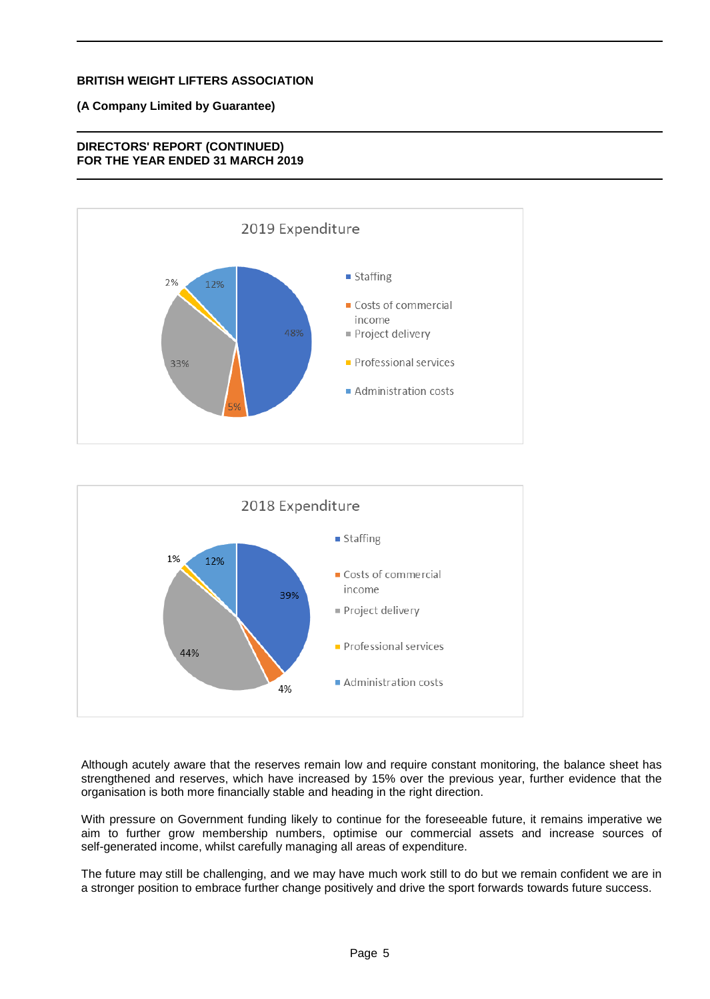## **(A Company Limited by Guarantee)**

## **DIRECTORS' REPORT (CONTINUED) FOR THE YEAR ENDED 31 MARCH 2019**





Although acutely aware that the reserves remain low and require constant monitoring, the balance sheet has strengthened and reserves, which have increased by 15% over the previous year, further evidence that the organisation is both more financially stable and heading in the right direction.

With pressure on Government funding likely to continue for the foreseeable future, it remains imperative we aim to further grow membership numbers, optimise our commercial assets and increase sources of self-generated income, whilst carefully managing all areas of expenditure.

The future may still be challenging, and we may have much work still to do but we remain confident we are in a stronger position to embrace further change positively and drive the sport forwards towards future success.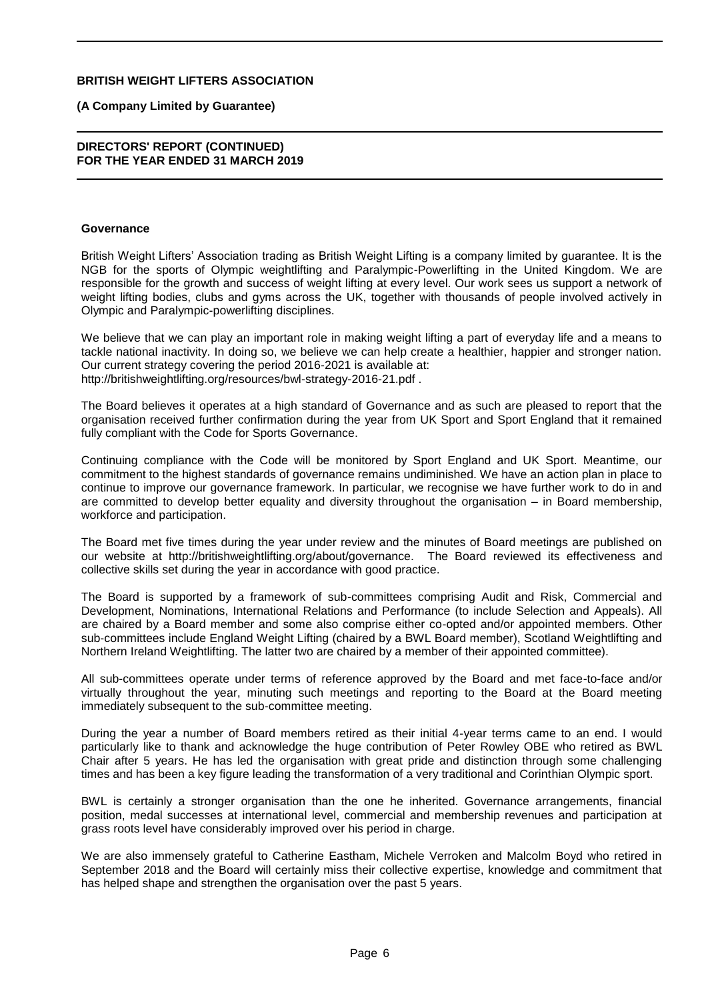#### **(A Company Limited by Guarantee)**

#### **DIRECTORS' REPORT (CONTINUED) FOR THE YEAR ENDED 31 MARCH 2019**

#### **Governance**

British Weight Lifters' Association trading as British Weight Lifting is a company limited by guarantee. It is the NGB for the sports of Olympic weightlifting and Paralympic-Powerlifting in the United Kingdom. We are responsible for the growth and success of weight lifting at every level. Our work sees us support a network of weight lifting bodies, clubs and gyms across the UK, together with thousands of people involved actively in Olympic and Paralympic-powerlifting disciplines.

We believe that we can play an important role in making weight lifting a part of everyday life and a means to tackle national inactivity. In doing so, we believe we can help create a healthier, happier and stronger nation. Our current strategy covering the period 2016-2021 is available at: http://britishweightlifting.org/resources/bwl-strategy-2016-21.pdf .

The Board believes it operates at a high standard of Governance and as such are pleased to report that the organisation received further confirmation during the year from UK Sport and Sport England that it remained fully compliant with the Code for Sports Governance.

Continuing compliance with the Code will be monitored by Sport England and UK Sport. Meantime, our commitment to the highest standards of governance remains undiminished. We have an action plan in place to continue to improve our governance framework. In particular, we recognise we have further work to do in and are committed to develop better equality and diversity throughout the organisation – in Board membership, workforce and participation.

The Board met five times during the year under review and the minutes of Board meetings are published on our website at http://britishweightlifting.org/about/governance. The Board reviewed its effectiveness and collective skills set during the year in accordance with good practice.

The Board is supported by a framework of sub-committees comprising Audit and Risk, Commercial and Development, Nominations, International Relations and Performance (to include Selection and Appeals). All are chaired by a Board member and some also comprise either co-opted and/or appointed members. Other sub-committees include England Weight Lifting (chaired by a BWL Board member), Scotland Weightlifting and Northern Ireland Weightlifting. The latter two are chaired by a member of their appointed committee).

All sub-committees operate under terms of reference approved by the Board and met face-to-face and/or virtually throughout the year, minuting such meetings and reporting to the Board at the Board meeting immediately subsequent to the sub-committee meeting.

During the year a number of Board members retired as their initial 4-year terms came to an end. I would particularly like to thank and acknowledge the huge contribution of Peter Rowley OBE who retired as BWL Chair after 5 years. He has led the organisation with great pride and distinction through some challenging times and has been a key figure leading the transformation of a very traditional and Corinthian Olympic sport.

BWL is certainly a stronger organisation than the one he inherited. Governance arrangements, financial position, medal successes at international level, commercial and membership revenues and participation at grass roots level have considerably improved over his period in charge.

We are also immensely grateful to Catherine Eastham, Michele Verroken and Malcolm Boyd who retired in September 2018 and the Board will certainly miss their collective expertise, knowledge and commitment that has helped shape and strengthen the organisation over the past 5 years.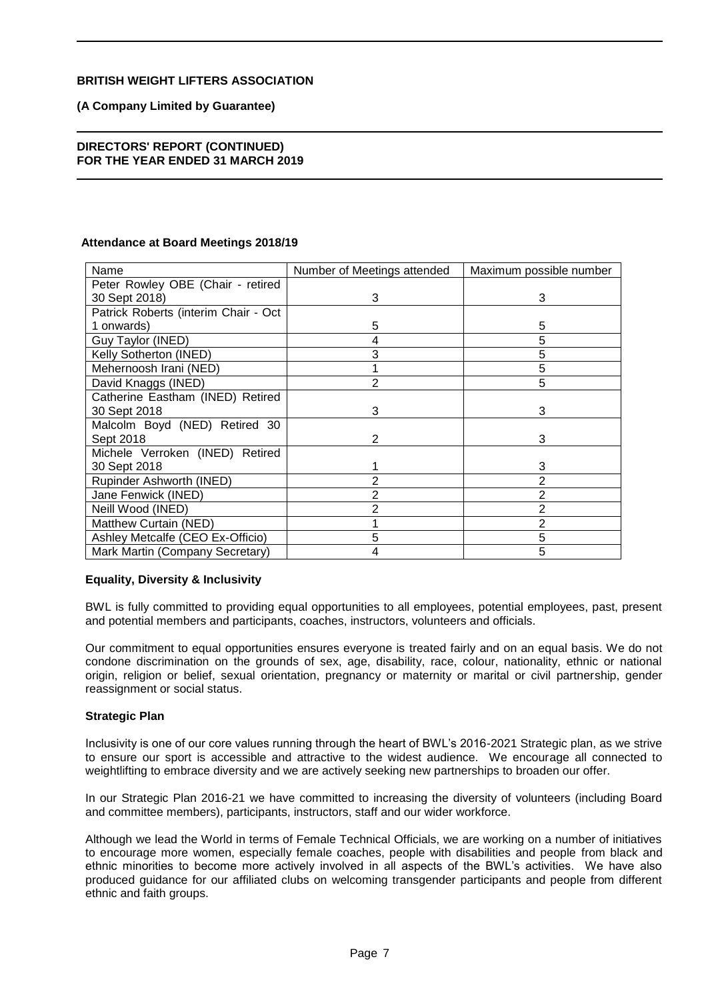### **(A Company Limited by Guarantee)**

#### **DIRECTORS' REPORT (CONTINUED) FOR THE YEAR ENDED 31 MARCH 2019**

#### **Attendance at Board Meetings 2018/19**

| Name                                 | Number of Meetings attended | Maximum possible number |
|--------------------------------------|-----------------------------|-------------------------|
| Peter Rowley OBE (Chair - retired    |                             |                         |
| 30 Sept 2018)                        | 3                           | 3                       |
| Patrick Roberts (interim Chair - Oct |                             |                         |
| 1 onwards)                           | 5                           | 5                       |
| Guy Taylor (INED)                    | 4                           | 5                       |
| Kelly Sotherton (INED)               | 3                           | 5                       |
| Mehernoosh Irani (NED)               |                             | 5                       |
| David Knaggs (INED)                  | 2                           | 5                       |
| Catherine Eastham (INED) Retired     |                             |                         |
| 30 Sept 2018                         | 3                           | 3                       |
| Malcolm Boyd (NED) Retired 30        |                             |                         |
| Sept 2018                            | 2                           | 3                       |
| Michele Verroken (INED) Retired      |                             |                         |
| 30 Sept 2018                         |                             | 3                       |
| Rupinder Ashworth (INED)             | 2                           | 2                       |
| Jane Fenwick (INED)                  | 2                           | 2                       |
| Neill Wood (INED)                    | 2                           | 2                       |
| Matthew Curtain (NED)                |                             | 2                       |
| Ashley Metcalfe (CEO Ex-Officio)     | 5                           | 5                       |
| Mark Martin (Company Secretary)      | 4                           | 5                       |

#### **Equality, Diversity & Inclusivity**

BWL is fully committed to providing equal opportunities to all employees, potential employees, past, present and potential members and participants, coaches, instructors, volunteers and officials.

Our commitment to equal opportunities ensures everyone is treated fairly and on an equal basis. We do not condone discrimination on the grounds of sex, age, disability, race, colour, nationality, ethnic or national origin, religion or belief, sexual orientation, pregnancy or maternity or marital or civil partnership, gender reassignment or social status.

#### **Strategic Plan**

Inclusivity is one of our core values running through the heart of BWL's 2016-2021 Strategic plan, as we strive to ensure our sport is accessible and attractive to the widest audience. We encourage all connected to weightlifting to embrace diversity and we are actively seeking new partnerships to broaden our offer.

In our Strategic Plan 2016-21 we have committed to increasing the diversity of volunteers (including Board and committee members), participants, instructors, staff and our wider workforce.

Although we lead the World in terms of Female Technical Officials, we are working on a number of initiatives to encourage more women, especially female coaches, people with disabilities and people from black and ethnic minorities to become more actively involved in all aspects of the BWL's activities. We have also produced guidance for our affiliated clubs on welcoming transgender participants and people from different ethnic and faith groups.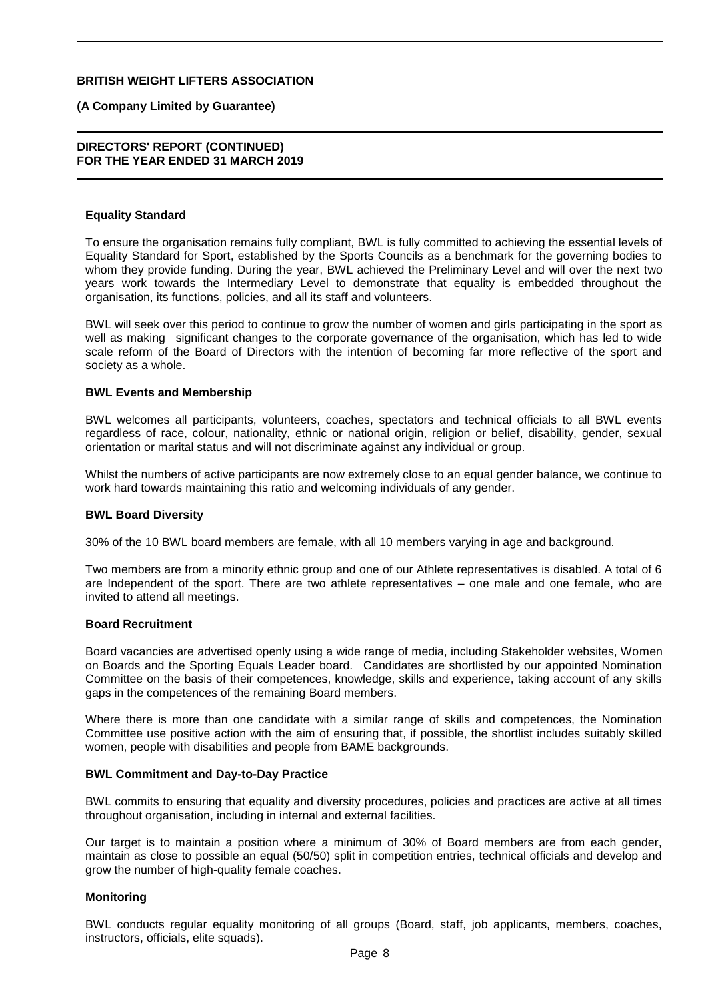#### **(A Company Limited by Guarantee)**

#### **DIRECTORS' REPORT (CONTINUED) FOR THE YEAR ENDED 31 MARCH 2019**

#### **Equality Standard**

To ensure the organisation remains fully compliant, BWL is fully committed to achieving the essential levels of Equality Standard for Sport, established by the Sports Councils as a benchmark for the governing bodies to whom they provide funding. During the year, BWL achieved the Preliminary Level and will over the next two years work towards the Intermediary Level to demonstrate that equality is embedded throughout the organisation, its functions, policies, and all its staff and volunteers.

BWL will seek over this period to continue to grow the number of women and girls participating in the sport as well as making significant changes to the corporate governance of the organisation, which has led to wide scale reform of the Board of Directors with the intention of becoming far more reflective of the sport and society as a whole.

#### **BWL Events and Membership**

BWL welcomes all participants, volunteers, coaches, spectators and technical officials to all BWL events regardless of race, colour, nationality, ethnic or national origin, religion or belief, disability, gender, sexual orientation or marital status and will not discriminate against any individual or group.

Whilst the numbers of active participants are now extremely close to an equal gender balance, we continue to work hard towards maintaining this ratio and welcoming individuals of any gender.

#### **BWL Board Diversity**

30% of the 10 BWL board members are female, with all 10 members varying in age and background.

Two members are from a minority ethnic group and one of our Athlete representatives is disabled. A total of 6 are Independent of the sport. There are two athlete representatives – one male and one female, who are invited to attend all meetings.

#### **Board Recruitment**

Board vacancies are advertised openly using a wide range of media, including Stakeholder websites, Women on Boards and the Sporting Equals Leader board. Candidates are shortlisted by our appointed Nomination Committee on the basis of their competences, knowledge, skills and experience, taking account of any skills gaps in the competences of the remaining Board members.

Where there is more than one candidate with a similar range of skills and competences, the Nomination Committee use positive action with the aim of ensuring that, if possible, the shortlist includes suitably skilled women, people with disabilities and people from BAME backgrounds.

#### **BWL Commitment and Day-to-Day Practice**

BWL commits to ensuring that equality and diversity procedures, policies and practices are active at all times throughout organisation, including in internal and external facilities.

Our target is to maintain a position where a minimum of 30% of Board members are from each gender, maintain as close to possible an equal (50/50) split in competition entries, technical officials and develop and grow the number of high-quality female coaches.

#### **Monitoring**

BWL conducts regular equality monitoring of all groups (Board, staff, job applicants, members, coaches, instructors, officials, elite squads).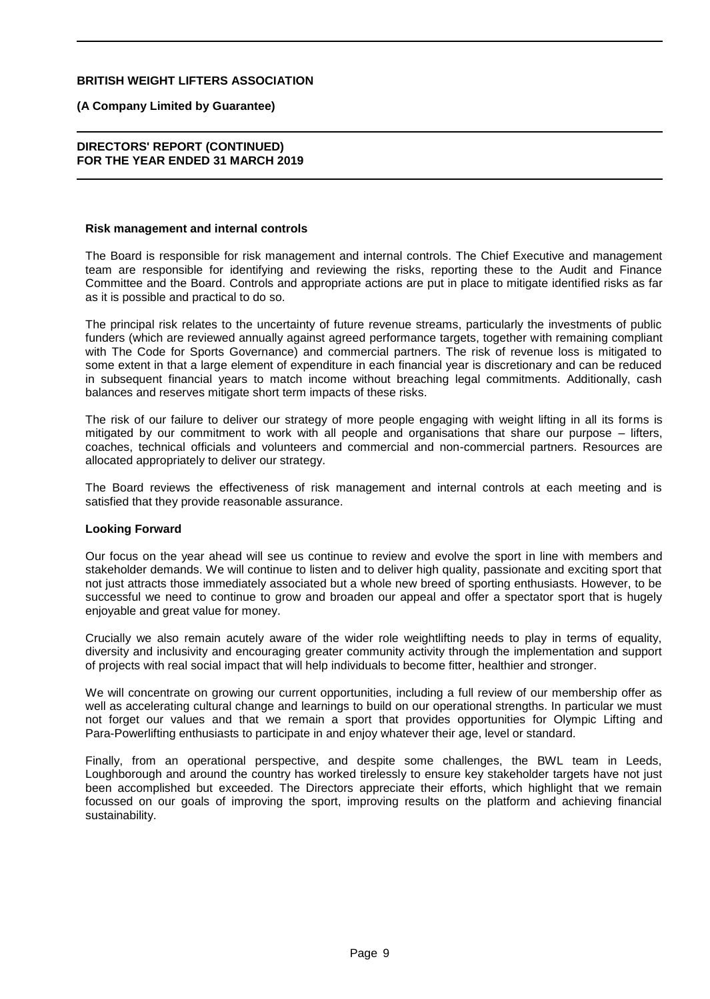#### **(A Company Limited by Guarantee)**

#### **DIRECTORS' REPORT (CONTINUED) FOR THE YEAR ENDED 31 MARCH 2019**

#### **Risk management and internal controls**

The Board is responsible for risk management and internal controls. The Chief Executive and management team are responsible for identifying and reviewing the risks, reporting these to the Audit and Finance Committee and the Board. Controls and appropriate actions are put in place to mitigate identified risks as far as it is possible and practical to do so.

The principal risk relates to the uncertainty of future revenue streams, particularly the investments of public funders (which are reviewed annually against agreed performance targets, together with remaining compliant with The Code for Sports Governance) and commercial partners. The risk of revenue loss is mitigated to some extent in that a large element of expenditure in each financial year is discretionary and can be reduced in subsequent financial years to match income without breaching legal commitments. Additionally, cash balances and reserves mitigate short term impacts of these risks.

The risk of our failure to deliver our strategy of more people engaging with weight lifting in all its forms is mitigated by our commitment to work with all people and organisations that share our purpose – lifters, coaches, technical officials and volunteers and commercial and non-commercial partners. Resources are allocated appropriately to deliver our strategy.

The Board reviews the effectiveness of risk management and internal controls at each meeting and is satisfied that they provide reasonable assurance.

#### **Looking Forward**

Our focus on the year ahead will see us continue to review and evolve the sport in line with members and stakeholder demands. We will continue to listen and to deliver high quality, passionate and exciting sport that not just attracts those immediately associated but a whole new breed of sporting enthusiasts. However, to be successful we need to continue to grow and broaden our appeal and offer a spectator sport that is hugely enjoyable and great value for money.

Crucially we also remain acutely aware of the wider role weightlifting needs to play in terms of equality, diversity and inclusivity and encouraging greater community activity through the implementation and support of projects with real social impact that will help individuals to become fitter, healthier and stronger.

We will concentrate on growing our current opportunities, including a full review of our membership offer as well as accelerating cultural change and learnings to build on our operational strengths. In particular we must not forget our values and that we remain a sport that provides opportunities for Olympic Lifting and Para-Powerlifting enthusiasts to participate in and enjoy whatever their age, level or standard.

Finally, from an operational perspective, and despite some challenges, the BWL team in Leeds, Loughborough and around the country has worked tirelessly to ensure key stakeholder targets have not just been accomplished but exceeded. The Directors appreciate their efforts, which highlight that we remain focussed on our goals of improving the sport, improving results on the platform and achieving financial sustainability.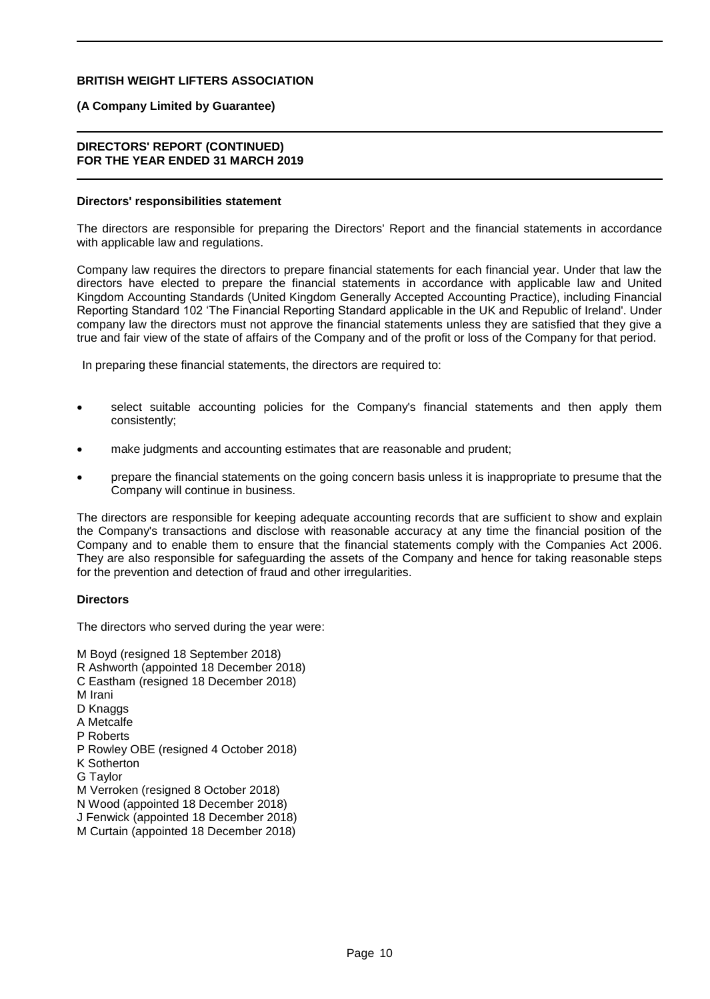#### **(A Company Limited by Guarantee)**

#### **DIRECTORS' REPORT (CONTINUED) FOR THE YEAR ENDED 31 MARCH 2019**

#### **Directors' responsibilities statement**

The directors are responsible for preparing the Directors' Report and the financial statements in accordance with applicable law and regulations.

Company law requires the directors to prepare financial statements for each financial year. Under that law the directors have elected to prepare the financial statements in accordance with applicable law and United Kingdom Accounting Standards (United Kingdom Generally Accepted Accounting Practice), including Financial Reporting Standard 102 'The Financial Reporting Standard applicable in the UK and Republic of Ireland'. Under company law the directors must not approve the financial statements unless they are satisfied that they give a true and fair view of the state of affairs of the Company and of the profit or loss of the Company for that period.

In preparing these financial statements, the directors are required to:

- select suitable accounting policies for the Company's financial statements and then apply them consistently;
- make judgments and accounting estimates that are reasonable and prudent;
- prepare the financial statements on the going concern basis unless it is inappropriate to presume that the Company will continue in business.

The directors are responsible for keeping adequate accounting records that are sufficient to show and explain the Company's transactions and disclose with reasonable accuracy at any time the financial position of the Company and to enable them to ensure that the financial statements comply with the Companies Act 2006. They are also responsible for safeguarding the assets of the Company and hence for taking reasonable steps for the prevention and detection of fraud and other irregularities.

#### **Directors**

The directors who served during the year were:

M Boyd (resigned 18 September 2018) R Ashworth (appointed 18 December 2018) C Eastham (resigned 18 December 2018) M Irani D Knaggs A Metcalfe P Roberts P Rowley OBE (resigned 4 October 2018) K Sotherton G Taylor M Verroken (resigned 8 October 2018) N Wood (appointed 18 December 2018) J Fenwick (appointed 18 December 2018) M Curtain (appointed 18 December 2018)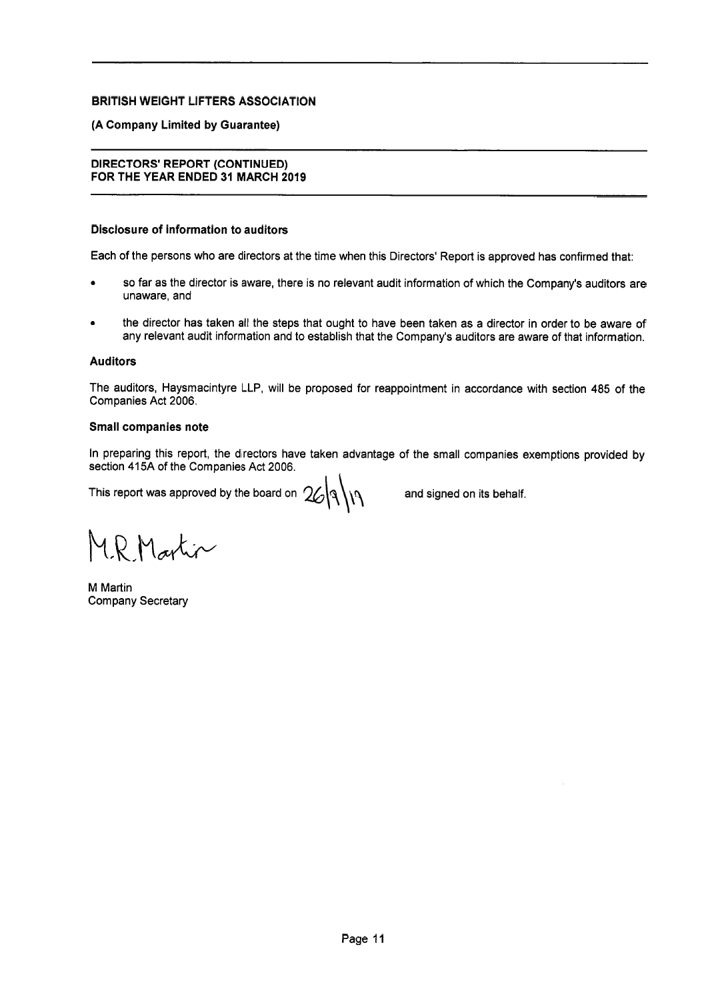#### (A Company Limited by Guarantee)

### **DIRECTORS' REPORT (CONTINUED)** FOR THE YEAR ENDED 31 MARCH 2019

#### **Disclosure of information to auditors**

Each of the persons who are directors at the time when this Directors' Report is approved has confirmed that:

- so far as the director is aware, there is no relevant audit information of which the Company's auditors are unaware, and
- the director has taken all the steps that ought to have been taken as a director in order to be aware of any relevant audit information and to establish that the Company's auditors are aware of that information.

#### **Auditors**

The auditors, Haysmacintyre LLP, will be proposed for reappointment in accordance with section 485 of the Companies Act 2006.

#### Small companies note

In preparing this report, the directors have taken advantage of the small companies exemptions provided by section 415A of the Companies Act 2006.

This report was approved by the board on  $26\sqrt{3}\sqrt{11}$ 

and signed on its behalf.

MR Martin

M Martin **Company Secretary**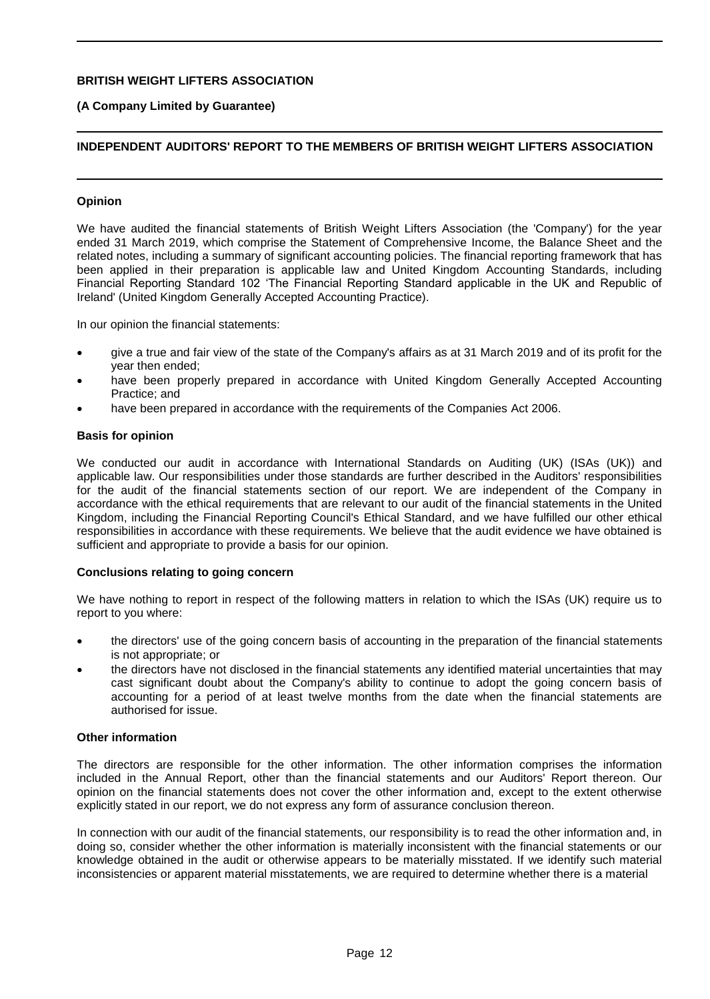### **(A Company Limited by Guarantee)**

## **INDEPENDENT AUDITORS' REPORT TO THE MEMBERS OF BRITISH WEIGHT LIFTERS ASSOCIATION**

#### **Opinion**

We have audited the financial statements of British Weight Lifters Association (the 'Company') for the year ended 31 March 2019, which comprise the Statement of Comprehensive Income, the Balance Sheet and the related notes, including a summary of significant accounting policies. The financial reporting framework that has been applied in their preparation is applicable law and United Kingdom Accounting Standards, including Financial Reporting Standard 102 'The Financial Reporting Standard applicable in the UK and Republic of Ireland' (United Kingdom Generally Accepted Accounting Practice).

In our opinion the financial statements:

- give a true and fair view of the state of the Company's affairs as at 31 March 2019 and of its profit for the year then ended;
- have been properly prepared in accordance with United Kingdom Generally Accepted Accounting Practice; and
- have been prepared in accordance with the requirements of the Companies Act 2006.

#### **Basis for opinion**

We conducted our audit in accordance with International Standards on Auditing (UK) (ISAs (UK)) and applicable law. Our responsibilities under those standards are further described in the Auditors' responsibilities for the audit of the financial statements section of our report. We are independent of the Company in accordance with the ethical requirements that are relevant to our audit of the financial statements in the United Kingdom, including the Financial Reporting Council's Ethical Standard, and we have fulfilled our other ethical responsibilities in accordance with these requirements. We believe that the audit evidence we have obtained is sufficient and appropriate to provide a basis for our opinion.

#### **Conclusions relating to going concern**

We have nothing to report in respect of the following matters in relation to which the ISAs (UK) require us to report to you where:

- the directors' use of the going concern basis of accounting in the preparation of the financial statements is not appropriate; or
- the directors have not disclosed in the financial statements any identified material uncertainties that may cast significant doubt about the Company's ability to continue to adopt the going concern basis of accounting for a period of at least twelve months from the date when the financial statements are authorised for issue.

#### **Other information**

The directors are responsible for the other information. The other information comprises the information included in the Annual Report, other than the financial statements and our Auditors' Report thereon. Our opinion on the financial statements does not cover the other information and, except to the extent otherwise explicitly stated in our report, we do not express any form of assurance conclusion thereon.

In connection with our audit of the financial statements, our responsibility is to read the other information and, in doing so, consider whether the other information is materially inconsistent with the financial statements or our knowledge obtained in the audit or otherwise appears to be materially misstated. If we identify such material inconsistencies or apparent material misstatements, we are required to determine whether there is a material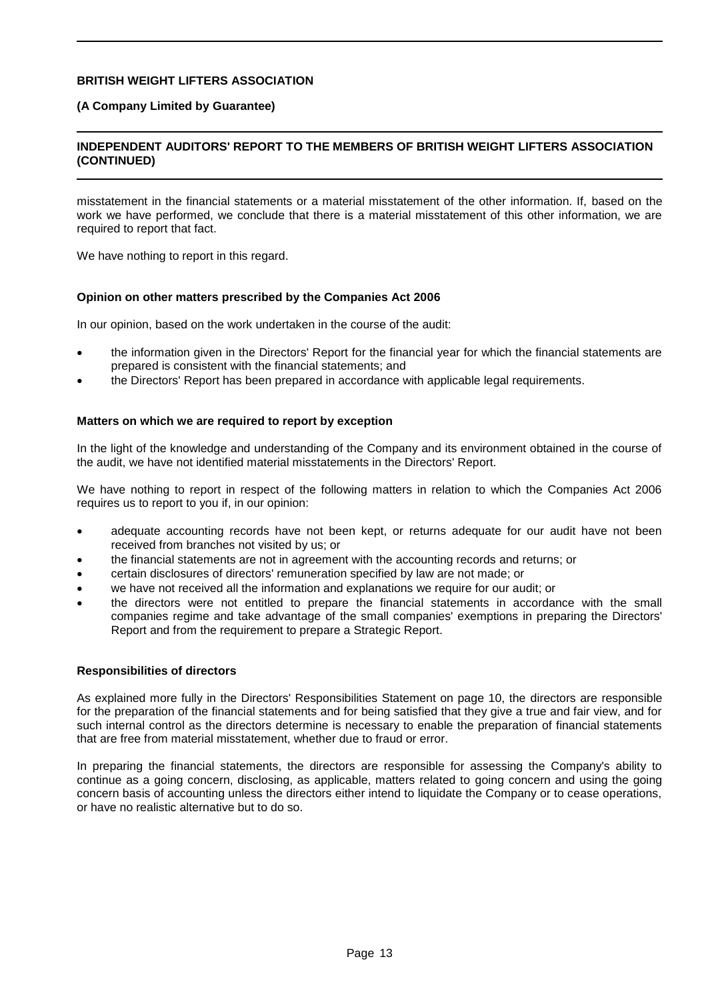#### **(A Company Limited by Guarantee)**

## **INDEPENDENT AUDITORS' REPORT TO THE MEMBERS OF BRITISH WEIGHT LIFTERS ASSOCIATION (CONTINUED)**

misstatement in the financial statements or a material misstatement of the other information. If, based on the work we have performed, we conclude that there is a material misstatement of this other information, we are required to report that fact.

We have nothing to report in this regard.

#### **Opinion on other matters prescribed by the Companies Act 2006**

In our opinion, based on the work undertaken in the course of the audit:

- the information given in the Directors' Report for the financial year for which the financial statements are prepared is consistent with the financial statements; and
- the Directors' Report has been prepared in accordance with applicable legal requirements.

#### **Matters on which we are required to report by exception**

In the light of the knowledge and understanding of the Company and its environment obtained in the course of the audit, we have not identified material misstatements in the Directors' Report.

We have nothing to report in respect of the following matters in relation to which the Companies Act 2006 requires us to report to you if, in our opinion:

- adequate accounting records have not been kept, or returns adequate for our audit have not been received from branches not visited by us; or
- the financial statements are not in agreement with the accounting records and returns; or
- certain disclosures of directors' remuneration specified by law are not made; or
- we have not received all the information and explanations we require for our audit; or
- the directors were not entitled to prepare the financial statements in accordance with the small companies regime and take advantage of the small companies' exemptions in preparing the Directors' Report and from the requirement to prepare a Strategic Report.

#### **Responsibilities of directors**

As explained more fully in the Directors' Responsibilities Statement on page 10, the directors are responsible for the preparation of the financial statements and for being satisfied that they give a true and fair view, and for such internal control as the directors determine is necessary to enable the preparation of financial statements that are free from material misstatement, whether due to fraud or error.

In preparing the financial statements, the directors are responsible for assessing the Company's ability to continue as a going concern, disclosing, as applicable, matters related to going concern and using the going concern basis of accounting unless the directors either intend to liquidate the Company or to cease operations, or have no realistic alternative but to do so.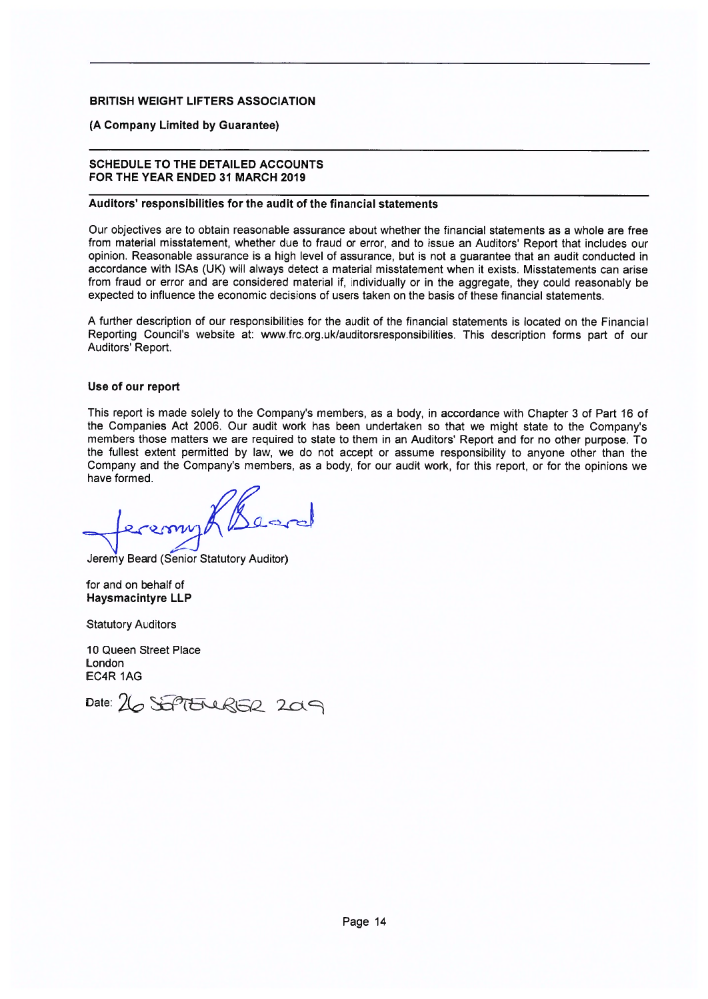#### (A Company Limited by Guarantee)

#### **SCHEDULE TO THE DETAILED ACCOUNTS** FOR THE YEAR ENDED 31 MARCH 2019

#### Auditors' responsibilities for the audit of the financial statements

Our objectives are to obtain reasonable assurance about whether the financial statements as a whole are free from material misstatement, whether due to fraud or error, and to issue an Auditors' Report that includes our opinion. Reasonable assurance is a high level of assurance, but is not a quarantee that an audit conducted in accordance with ISAs (UK) will always detect a material misstatement when it exists. Misstatements can arise from fraud or error and are considered material if, individually or in the aggregate, they could reasonably be expected to influence the economic decisions of users taken on the basis of these financial statements.

A further description of our responsibilities for the audit of the financial statements is located on the Financial Reporting Council's website at: www.frc.org.uk/auditorsresponsibilities. This description forms part of our Auditors' Report.

#### Use of our report

This report is made solely to the Company's members, as a body, in accordance with Chapter 3 of Part 16 of the Companies Act 2006. Our audit work has been undertaken so that we might state to the Company's members those matters we are required to state to them in an Auditors' Report and for no other purpose. To the fullest extent permitted by law, we do not accept or assume responsibility to anyone other than the Company and the Company's members, as a body, for our audit work, for this report, or for the opinions we have formed.

Jeremy Beard (Senior Statutory Auditor)

for and on behalf of **Haysmacintyre LLP** 

**Statutory Auditors** 

10 Queen Street Place London EC4R 1AG

Date: 26 SEPTERURER 209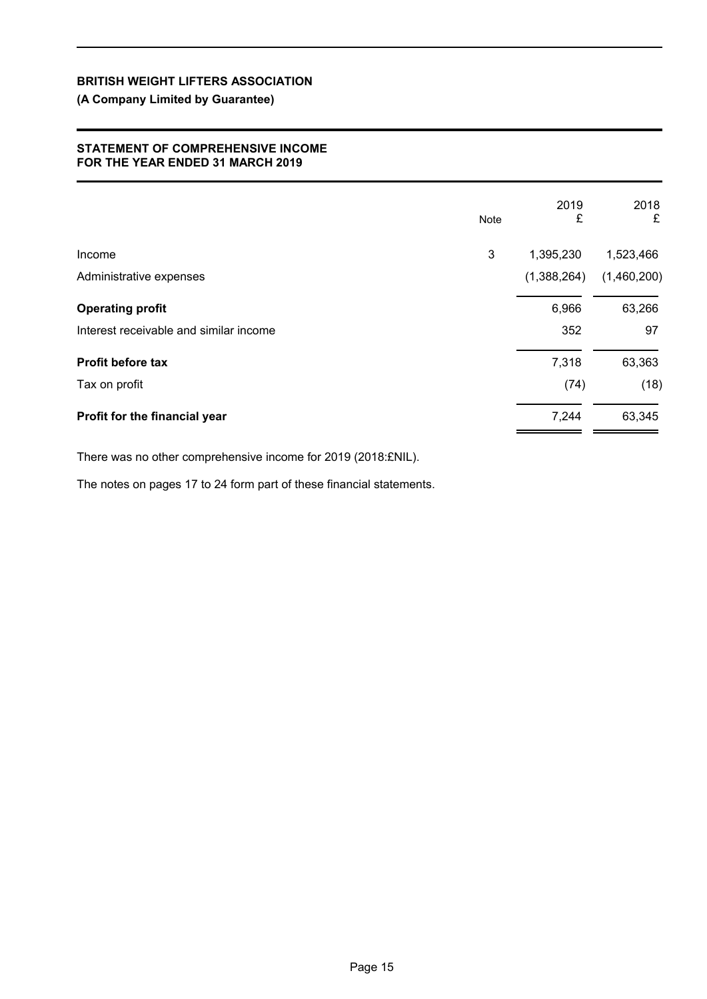## **(A Company Limited by Guarantee)**

## **STATEMENT OF COMPREHENSIVE INCOME FOR THE YEAR ENDED 31 MARCH 2019**

|                                        | <b>Note</b> | 2019<br>£   | 2018<br>£   |
|----------------------------------------|-------------|-------------|-------------|
| Income                                 | 3           | 1,395,230   | 1,523,466   |
| Administrative expenses                |             | (1,388,264) | (1,460,200) |
| <b>Operating profit</b>                |             | 6,966       | 63,266      |
| Interest receivable and similar income |             | 352         | 97          |
| <b>Profit before tax</b>               |             | 7,318       | 63,363      |
| Tax on profit                          |             | (74)        | (18)        |
| Profit for the financial year          |             | 7,244       | 63,345      |

There was no other comprehensive income for 2019 (2018:£NIL).

The notes on pages 17 to 24 form part of these financial statements.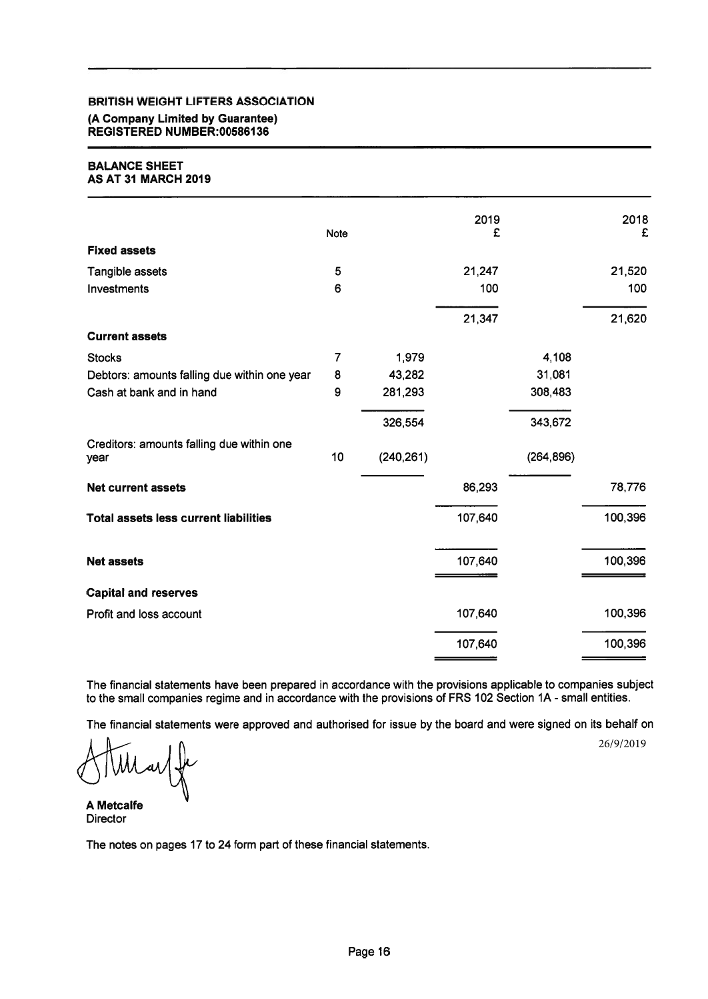## **BRITISH WEIGHT LIFTERS ASSOCIATION** (A Company Limited by Guarantee) REGISTERED NUMBER:00586136

#### **BALANCE SHEET AS AT 31 MARCH 2019**

|                                                   | Note           |            | 2019<br>£ |            | 2018<br>£ |
|---------------------------------------------------|----------------|------------|-----------|------------|-----------|
| <b>Fixed assets</b>                               |                |            |           |            |           |
| Tangible assets                                   | 5              |            | 21,247    |            | 21,520    |
| Investments                                       | 6              |            | 100       |            | 100       |
|                                                   |                |            | 21,347    |            | 21,620    |
| <b>Current assets</b>                             |                |            |           |            |           |
| <b>Stocks</b>                                     | $\overline{7}$ | 1,979      |           | 4,108      |           |
| Debtors: amounts falling due within one year      | 8              | 43,282     |           | 31,081     |           |
| Cash at bank and in hand                          | 9              | 281,293    |           | 308,483    |           |
|                                                   |                | 326,554    |           | 343,672    |           |
| Creditors: amounts falling due within one<br>year | 10             | (240, 261) |           | (264, 896) |           |
| <b>Net current assets</b>                         |                |            | 86,293    |            | 78,776    |
| <b>Total assets less current liabilities</b>      |                |            | 107,640   |            | 100,396   |
| <b>Net assets</b>                                 |                |            | 107,640   |            | 100,396   |
| <b>Capital and reserves</b>                       |                |            |           |            |           |
| Profit and loss account                           |                |            | 107,640   |            | 100,396   |
|                                                   |                |            | 107,640   |            | 100,396   |
|                                                   |                |            |           |            |           |

The financial statements have been prepared in accordance with the provisions applicable to companies subject to the small companies regime and in accordance with the provisions of FRS 102 Section 1A - small entities.

The financial statements were approved and authorised for issue by the board and were signed on its behalf on

26/9/2019

**A Metcalfe Director** 

The notes on pages 17 to 24 form part of these financial statements.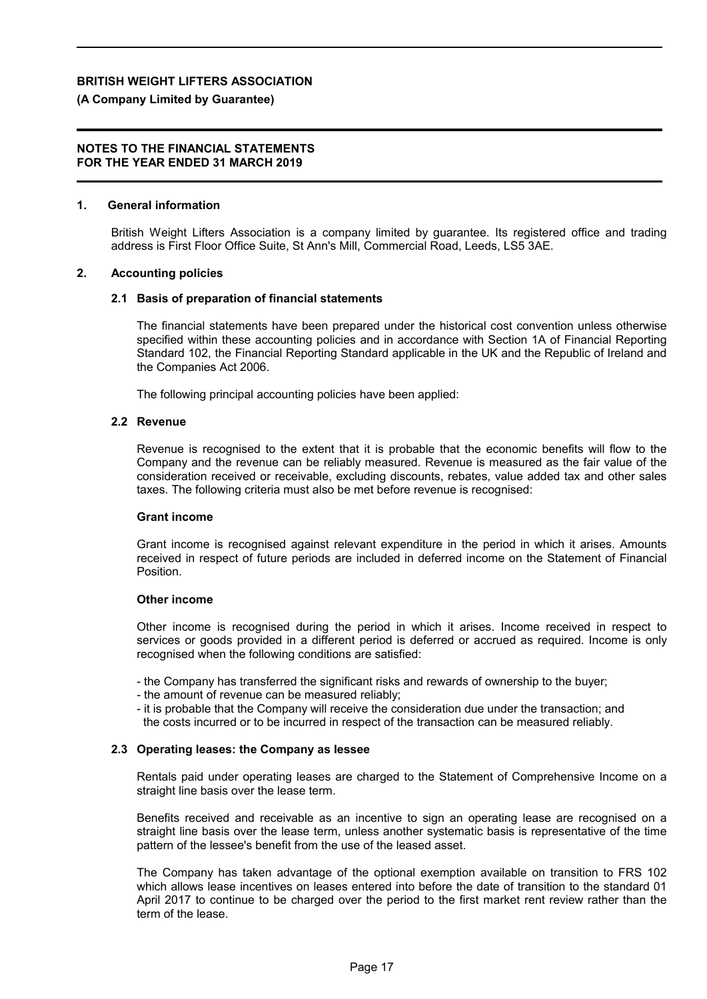#### **(A Company Limited by Guarantee)**

#### **NOTES TO THE FINANCIAL STATEMENTS FOR THE YEAR ENDED 31 MARCH 2019**

#### **1. General information**

British Weight Lifters Association is a company limited by guarantee. Its registered office and trading address is First Floor Office Suite, St Ann's Mill, Commercial Road, Leeds, LS5 3AE.

#### **2. Accounting policies**

#### **2.1 Basis of preparation of financial statements**

The financial statements have been prepared under the historical cost convention unless otherwise specified within these accounting policies and in accordance with Section 1A of Financial Reporting Standard 102, the Financial Reporting Standard applicable in the UK and the Republic of Ireland and the Companies Act 2006.

The following principal accounting policies have been applied:

#### **2.2 Revenue**

Revenue is recognised to the extent that it is probable that the economic benefits will flow to the Company and the revenue can be reliably measured. Revenue is measured as the fair value of the consideration received or receivable, excluding discounts, rebates, value added tax and other sales taxes. The following criteria must also be met before revenue is recognised:

#### **Grant income**

Grant income is recognised against relevant expenditure in the period in which it arises. Amounts received in respect of future periods are included in deferred income on the Statement of Financial Position.

#### **Other income**

Other income is recognised during the period in which it arises. Income received in respect to services or goods provided in a different period is deferred or accrued as required. Income is only recognised when the following conditions are satisfied:

- the Company has transferred the significant risks and rewards of ownership to the buyer;
- the amount of revenue can be measured reliably;
- it is probable that the Company will receive the consideration due under the transaction; and the costs incurred or to be incurred in respect of the transaction can be measured reliably.

#### **2.3 Operating leases: the Company as lessee**

Rentals paid under operating leases are charged to the Statement of Comprehensive Income on a straight line basis over the lease term.

Benefits received and receivable as an incentive to sign an operating lease are recognised on a straight line basis over the lease term, unless another systematic basis is representative of the time pattern of the lessee's benefit from the use of the leased asset.

The Company has taken advantage of the optional exemption available on transition to FRS 102 which allows lease incentives on leases entered into before the date of transition to the standard 01 April 2017 to continue to be charged over the period to the first market rent review rather than the term of the lease.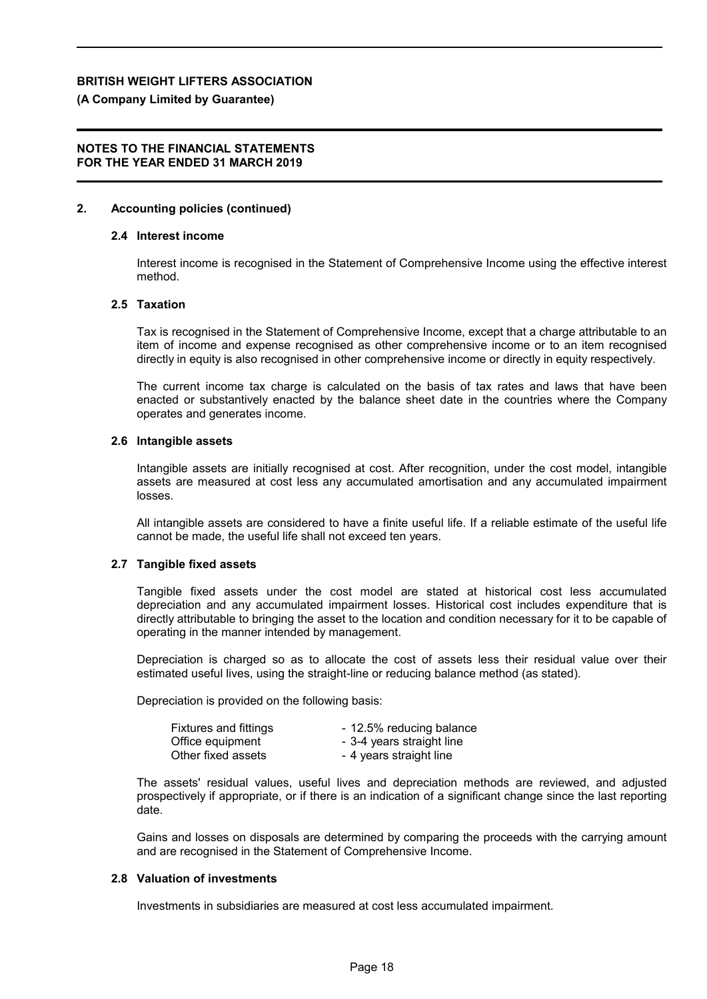#### **(A Company Limited by Guarantee)**

## **NOTES TO THE FINANCIAL STATEMENTS FOR THE YEAR ENDED 31 MARCH 2019**

#### **2. Accounting policies (continued)**

#### **2.4 Interest income**

Interest income is recognised in the Statement of Comprehensive Income using the effective interest method.

#### **2.5 Taxation**

Tax is recognised in the Statement of Comprehensive Income, except that a charge attributable to an item of income and expense recognised as other comprehensive income or to an item recognised directly in equity is also recognised in other comprehensive income or directly in equity respectively.

The current income tax charge is calculated on the basis of tax rates and laws that have been enacted or substantively enacted by the balance sheet date in the countries where the Company operates and generates income.

#### **2.6 Intangible assets**

Intangible assets are initially recognised at cost. After recognition, under the cost model, intangible assets are measured at cost less any accumulated amortisation and any accumulated impairment losses.

All intangible assets are considered to have a finite useful life. If a reliable estimate of the useful life cannot be made, the useful life shall not exceed ten years.

#### **2.7 Tangible fixed assets**

Tangible fixed assets under the cost model are stated at historical cost less accumulated depreciation and any accumulated impairment losses. Historical cost includes expenditure that is directly attributable to bringing the asset to the location and condition necessary for it to be capable of operating in the manner intended by management.

Depreciation is charged so as to allocate the cost of assets less their residual value over their estimated useful lives, using the straight-line or reducing balance method (as stated).

Depreciation is provided on the following basis:

| <b>Fixtures and fittings</b> | - 12.5% reducing balance  |
|------------------------------|---------------------------|
| Office equipment             | - 3-4 years straight line |
| Other fixed assets           | - 4 years straight line   |

The assets' residual values, useful lives and depreciation methods are reviewed, and adjusted prospectively if appropriate, or if there is an indication of a significant change since the last reporting date.

Gains and losses on disposals are determined by comparing the proceeds with the carrying amount and are recognised in the Statement of Comprehensive Income.

#### **2.8 Valuation of investments**

Investments in subsidiaries are measured at cost less accumulated impairment.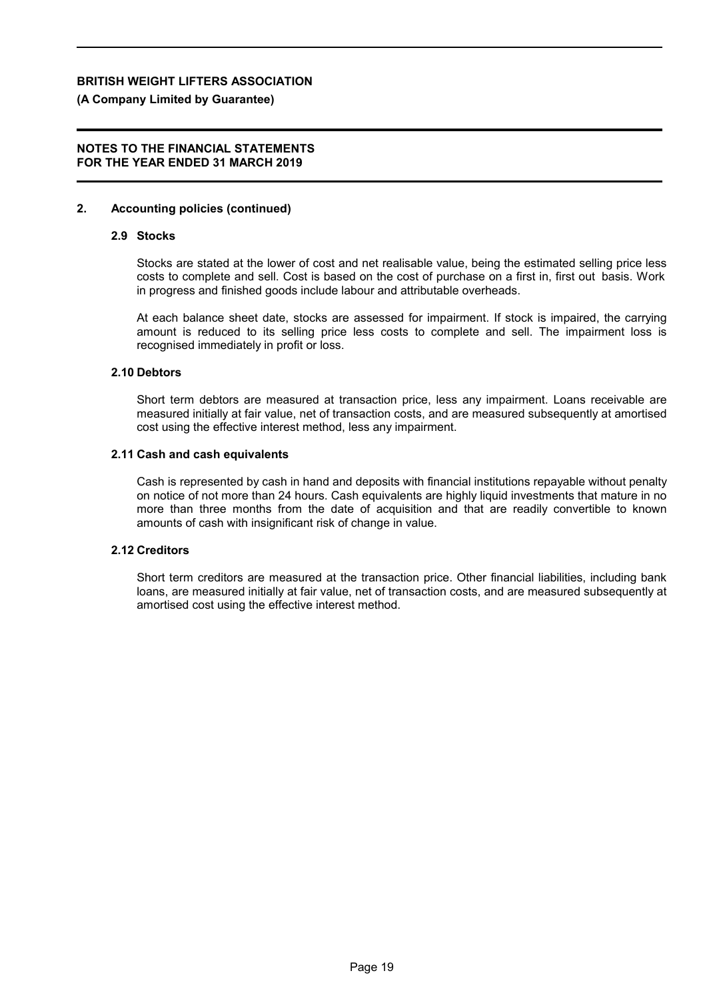#### **(A Company Limited by Guarantee)**

### **NOTES TO THE FINANCIAL STATEMENTS FOR THE YEAR ENDED 31 MARCH 2019**

#### **2. Accounting policies (continued)**

#### **2.9 Stocks**

Stocks are stated at the lower of cost and net realisable value, being the estimated selling price less costs to complete and sell. Cost is based on the cost of purchase on a first in, first out basis. Work in progress and finished goods include labour and attributable overheads.

At each balance sheet date, stocks are assessed for impairment. If stock is impaired, the carrying amount is reduced to its selling price less costs to complete and sell. The impairment loss is recognised immediately in profit or loss.

#### **2.10 Debtors**

Short term debtors are measured at transaction price, less any impairment. Loans receivable are measured initially at fair value, net of transaction costs, and are measured subsequently at amortised cost using the effective interest method, less any impairment.

#### **2.11 Cash and cash equivalents**

Cash is represented by cash in hand and deposits with financial institutions repayable without penalty on notice of not more than 24 hours. Cash equivalents are highly liquid investments that mature in no more than three months from the date of acquisition and that are readily convertible to known amounts of cash with insignificant risk of change in value.

#### **2.12 Creditors**

Short term creditors are measured at the transaction price. Other financial liabilities, including bank loans, are measured initially at fair value, net of transaction costs, and are measured subsequently at amortised cost using the effective interest method.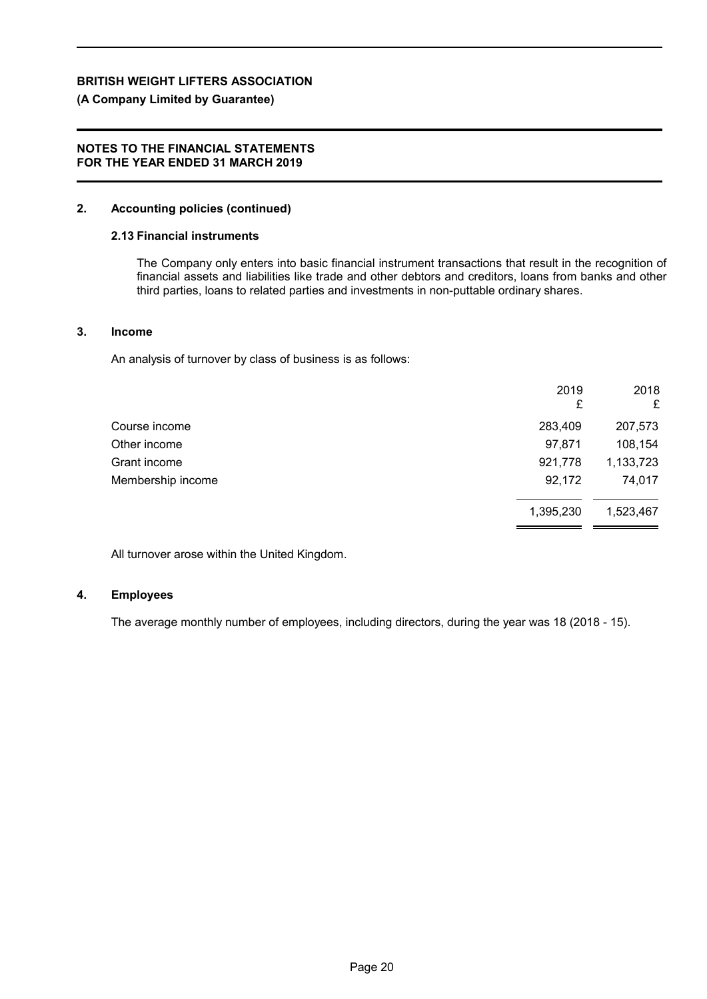## **(A Company Limited by Guarantee)**

### **NOTES TO THE FINANCIAL STATEMENTS FOR THE YEAR ENDED 31 MARCH 2019**

## **2. Accounting policies (continued)**

#### **2.13 Financial instruments**

The Company only enters into basic financial instrument transactions that result in the recognition of financial assets and liabilities like trade and other debtors and creditors, loans from banks and other third parties, loans to related parties and investments in non-puttable ordinary shares.

## **3. Income**

An analysis of turnover by class of business is as follows:

|                   | 2019      | 2018      |
|-------------------|-----------|-----------|
|                   | £         | £         |
| Course income     | 283,409   | 207,573   |
| Other income      | 97,871    | 108,154   |
| Grant income      | 921,778   | 1,133,723 |
| Membership income | 92,172    | 74,017    |
|                   | 1,395,230 | 1,523,467 |

All turnover arose within the United Kingdom.

## **4. Employees**

The average monthly number of employees, including directors, during the year was 18 (2018 - 15).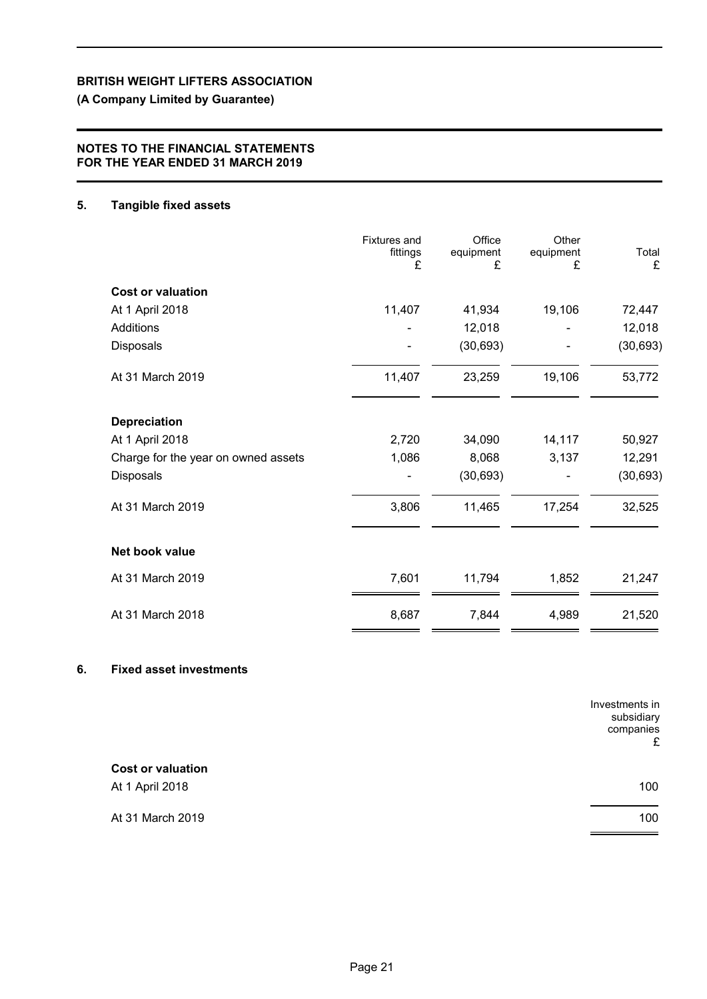## **(A Company Limited by Guarantee)**

## **NOTES TO THE FINANCIAL STATEMENTS FOR THE YEAR ENDED 31 MARCH 2019**

## **5. Tangible fixed assets**

|                                     | <b>Fixtures and</b><br>fittings<br>£ | Office<br>equipment<br>£ | Other<br>equipment<br>£ | Total<br>£ |
|-------------------------------------|--------------------------------------|--------------------------|-------------------------|------------|
| <b>Cost or valuation</b>            |                                      |                          |                         |            |
| At 1 April 2018                     | 11,407                               | 41,934                   | 19,106                  | 72,447     |
| Additions                           |                                      | 12,018                   |                         | 12,018     |
| <b>Disposals</b>                    |                                      | (30, 693)                |                         | (30, 693)  |
| At 31 March 2019                    | 11,407                               | 23,259                   | 19,106                  | 53,772     |
| <b>Depreciation</b>                 |                                      |                          |                         |            |
| At 1 April 2018                     | 2,720                                | 34,090                   | 14,117                  | 50,927     |
| Charge for the year on owned assets | 1,086                                | 8,068                    | 3,137                   | 12,291     |
| Disposals                           |                                      | (30, 693)                |                         | (30, 693)  |
| At 31 March 2019                    | 3,806                                | 11,465                   | 17,254                  | 32,525     |
| Net book value                      |                                      |                          |                         |            |
| At 31 March 2019                    | 7,601                                | 11,794                   | 1,852                   | 21,247     |
| At 31 March 2018                    | 8,687                                | 7,844                    | 4,989                   | 21,520     |

## **6. Fixed asset investments**

|                          | Investments in<br>subsidiary<br>companies<br>£ |
|--------------------------|------------------------------------------------|
| <b>Cost or valuation</b> |                                                |
| At 1 April 2018          | 100                                            |
| At 31 March 2019         | 100                                            |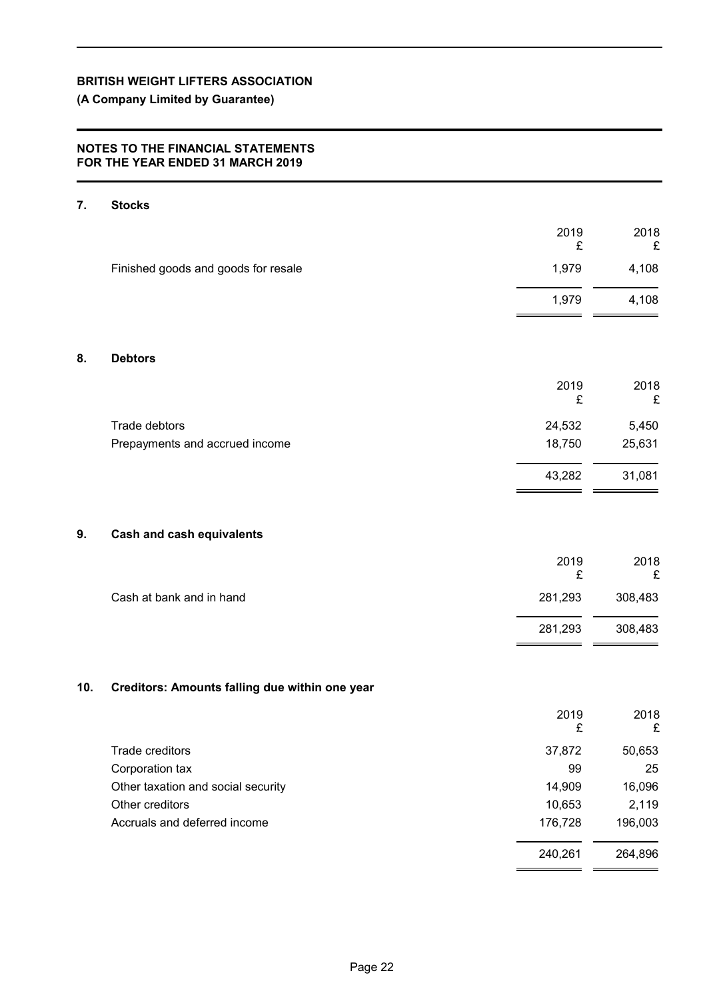## **(A Company Limited by Guarantee)**

## **NOTES TO THE FINANCIAL STATEMENTS FOR THE YEAR ENDED 31 MARCH 2019**

| 7.  | <b>Stocks</b>                                  |            |            |
|-----|------------------------------------------------|------------|------------|
|     |                                                | 2019       | 2018       |
|     | Finished goods and goods for resale            | £<br>1,979 | £<br>4,108 |
|     |                                                |            |            |
|     |                                                | 1,979      | 4,108      |
|     |                                                |            |            |
| 8.  | <b>Debtors</b>                                 |            |            |
|     |                                                | 2019<br>£  | 2018<br>£  |
|     | Trade debtors                                  | 24,532     | 5,450      |
|     | Prepayments and accrued income                 | 18,750     | 25,631     |
|     |                                                | 43,282     | 31,081     |
| 9.  | <b>Cash and cash equivalents</b>               |            |            |
|     |                                                |            |            |
|     |                                                | 2019<br>£  | 2018<br>£  |
|     | Cash at bank and in hand                       | 281,293    | 308,483    |
|     |                                                | 281,293    | 308,483    |
|     |                                                |            |            |
| 10. | Creditors: Amounts falling due within one year |            |            |
|     |                                                | 2019<br>£  | 2018<br>£  |
|     | Trade creditors                                | 37,872     | 50,653     |
|     | Corporation tax                                | 99         | 25         |
|     | Other taxation and social security             | 14,909     | 16,096     |
|     | Other creditors                                | 10,653     | 2,119      |
|     | Accruals and deferred income                   | 176,728    | 196,003    |
|     |                                                | 240,261    | 264,896    |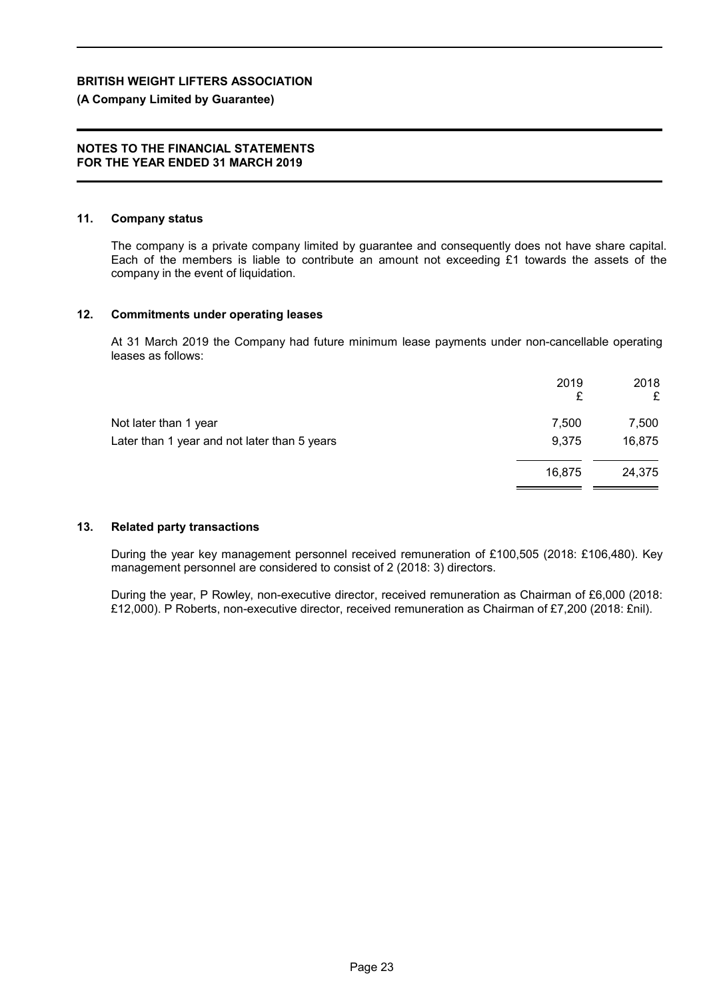## **(A Company Limited by Guarantee)**

#### **NOTES TO THE FINANCIAL STATEMENTS FOR THE YEAR ENDED 31 MARCH 2019**

#### **11. Company status**

The company is a private company limited by guarantee and consequently does not have share capital. Each of the members is liable to contribute an amount not exceeding £1 towards the assets of the company in the event of liquidation.

#### **12. Commitments under operating leases**

At 31 March 2019 the Company had future minimum lease payments under non-cancellable operating leases as follows:

|                                              | 2019<br>£ | 2018<br>£ |
|----------------------------------------------|-----------|-----------|
| Not later than 1 year                        | 7,500     | 7,500     |
| Later than 1 year and not later than 5 years | 9,375     | 16,875    |
|                                              | 16.875    | 24,375    |
|                                              |           |           |

## **13. Related party transactions**

During the year key management personnel received remuneration of £100,505 (2018: £106,480). Key management personnel are considered to consist of 2 (2018: 3) directors.

During the year, P Rowley, non-executive director, received remuneration as Chairman of £6,000 (2018: £12,000). P Roberts, non-executive director, received remuneration as Chairman of £7,200 (2018: £nil).